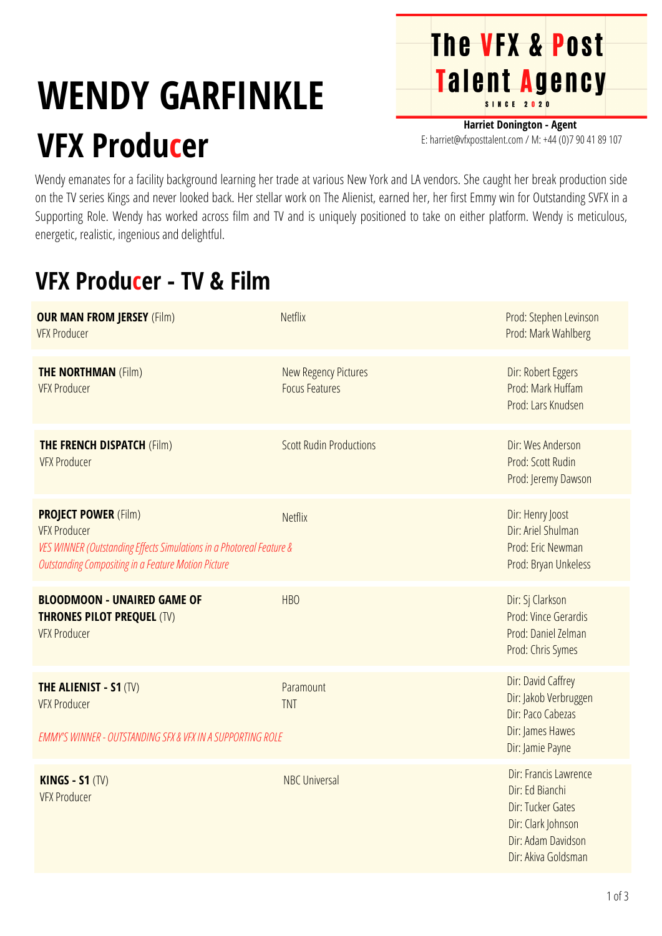## **WENDY GARFINKLE VFX Producer**

**Harriet Donington - Agent** E: harriet@vfxposttalent.com / M: +44 (0)7 90 41 89 107

**The VFX & Post** 

**Talent Agency** 

Wendy emanates for a facility background learning her trade at various New York and LA vendors. She caught her break production side on the TV series Kings and never looked back. Her stellar work on The Alienist, earned her, her first Emmy win for Outstanding SVFX in a Supporting Role. Wendy has worked across film and TV and is uniquely positioned to take on either platform. Wendy is meticulous, energetic, realistic, ingenious and delightful.

## **VFX Producer - TV & Film**

| <b>OUR MAN FROM JERSEY (Film)</b><br><b>VFX Producer</b>                                                                                                                                 | <b>Netflix</b>                                       | Prod: Stephen Levinson<br>Prod: Mark Wahlberg                                                                                    |
|------------------------------------------------------------------------------------------------------------------------------------------------------------------------------------------|------------------------------------------------------|----------------------------------------------------------------------------------------------------------------------------------|
| <b>THE NORTHMAN (Film)</b><br><b>VFX Producer</b>                                                                                                                                        | <b>New Regency Pictures</b><br><b>Focus Features</b> | Dir: Robert Eggers<br>Prod: Mark Huffam<br>Prod: Lars Knudsen                                                                    |
| <b>THE FRENCH DISPATCH (Film)</b><br><b>VFX Producer</b>                                                                                                                                 | <b>Scott Rudin Productions</b>                       | Dir: Wes Anderson<br>Prod: Scott Rudin<br>Prod: Jeremy Dawson                                                                    |
| <b>PROJECT POWER (Film)</b><br><b>VFX Producer</b><br>VES WINNER (Outstanding Effects Simulations in a Photoreal Feature &<br><b>Outstanding Compositing in a Feature Motion Picture</b> | <b>Netflix</b>                                       | Dir: Henry Joost<br>Dir: Ariel Shulman<br>Prod: Eric Newman<br>Prod: Bryan Unkeless                                              |
| <b>BLOODMOON - UNAIRED GAME OF</b><br><b>THRONES PILOT PREQUEL (TV)</b><br><b>VFX Producer</b>                                                                                           | <b>HBO</b>                                           | Dir: Sj Clarkson<br>Prod: Vince Gerardis<br>Prod: Daniel Zelman<br>Prod: Chris Symes                                             |
| <b>THE ALIENIST - S1 (TV)</b><br><b>VFX Producer</b><br><b>EMMY'S WINNER - OUTSTANDING SFX &amp; VFX IN A SUPPORTING ROLE</b>                                                            | Paramount<br><b>TNT</b>                              | Dir: David Caffrey<br>Dir: Jakob Verbruggen<br>Dir: Paco Cabezas<br>Dir: James Hawes<br>Dir: Jamie Payne                         |
| <b>KINGS - S1 (TV)</b><br><b>VFX Producer</b>                                                                                                                                            | <b>NBC Universal</b>                                 | Dir: Francis Lawrence<br>Dir: Ed Bianchi<br>Dir: Tucker Gates<br>Dir: Clark Johnson<br>Dir: Adam Davidson<br>Dir: Akiva Goldsman |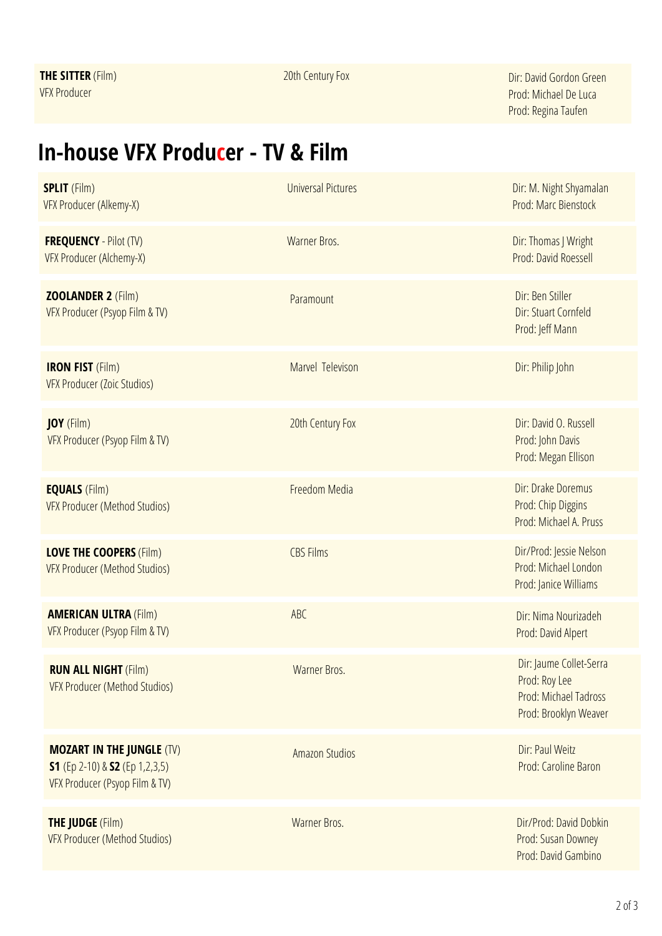20th Century Fox Dir: David Gordon Green Prod: Michael DeLuca Prod: Regina Taufen

## **In-house VFX Producer - TV & Film**

| <b>SPLIT</b> (Film)<br>VFX Producer (Alkemy-X)                                                       | <b>Universal Pictures</b> | Dir: M. Night Shyamalan<br>Prod: Marc Bienstock                                            |
|------------------------------------------------------------------------------------------------------|---------------------------|--------------------------------------------------------------------------------------------|
| <b>FREQUENCY</b> - Pilot (TV)<br>VFX Producer (Alchemy-X)                                            | Warner Bros.              | Dir: Thomas J Wright<br>Prod: David Roessell                                               |
| <b>ZOOLANDER 2 (Film)</b><br>VFX Producer (Psyop Film & TV)                                          | Paramount                 | Dir: Ben Stiller<br>Dir: Stuart Cornfeld<br>Prod: Jeff Mann                                |
| <b>IRON FIST (Film)</b><br>VFX Producer (Zoic Studios)                                               | Marvel Televison          | Dir: Philip John                                                                           |
| <b>JOY</b> (Film)<br>VFX Producer (Psyop Film & TV)                                                  | 20th Century Fox          | Dir: David O. Russell<br>Prod: John Davis<br>Prod: Megan Ellison                           |
| <b>EQUALS</b> (Film)<br><b>VFX Producer (Method Studios)</b>                                         | Freedom Media             | Dir: Drake Doremus<br>Prod: Chip Diggins<br>Prod: Michael A. Pruss                         |
| <b>LOVE THE COOPERS (Film)</b><br><b>VFX Producer (Method Studios)</b>                               | <b>CBS Films</b>          | Dir/Prod: Jessie Nelson<br>Prod: Michael London<br>Prod: Janice Williams                   |
| <b>AMERICAN ULTRA (Film)</b><br>VFX Producer (Psyop Film & TV)                                       | <b>ABC</b>                | Dir: Nima Nourizadeh<br>Prod: David Alpert                                                 |
| <b>RUN ALL NIGHT (Film)</b><br><b>VFX Producer (Method Studios)</b>                                  | Warner Bros.              | Dir: Jaume Collet-Serra<br>Prod: Roy Lee<br>Prod: Michael Tadross<br>Prod: Brooklyn Weaver |
| <b>MOZART IN THE JUNGLE (TV)</b><br>S1 (Ep 2-10) & S2 (Ep 1,2,3,5)<br>VFX Producer (Psyop Film & TV) | <b>Amazon Studios</b>     | Dir: Paul Weitz<br>Prod: Caroline Baron                                                    |
| <b>THE JUDGE (Film)</b><br><b>VFX Producer (Method Studios)</b>                                      | Warner Bros.              | Dir/Prod: David Dobkin<br>Prod: Susan Downey<br>Prod: David Gambino                        |